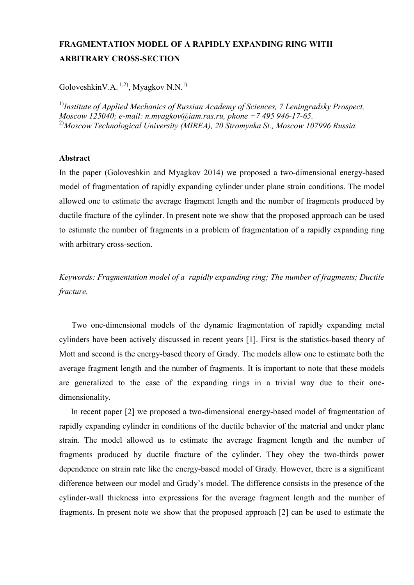## **FRAGMENTATION MODEL OF A RAPIDLY EXPANDING RING WITH ARBITRARY CROSS-SECTION**

GoloveshkinV.A.  $^{1,2)}$ , Myagkov N.N.<sup>1)</sup>

1)*Institute of Applied Mechanics of Russian Academy of Sciences, 7 Leningradsky Prospect, Moscow 125040; e-mail: n.myagkov@iam.ras.ru, phone +7 495 946-17-65.* 2)*Moscow Technological University (MIREA), 20 Stromynka St., Moscow 107996 Russia.*

## **Abstract**

In the paper (Goloveshkin and Myagkov 2014) we proposed a two-dimensional energy-based model of fragmentation of rapidly expanding cylinder under plane strain conditions. The model allowed one to estimate the average fragment length and the number of fragments produced by ductile fracture of the cylinder. In present note we show that the proposed approach can be used to estimate the number of fragments in a problem of fragmentation of a rapidly expanding ring with arbitrary cross-section.

*Keywords: Fragmentation model of a rapidly expanding ring; The number of fragments; Ductile fracture.*

Two one-dimensional models of the dynamic fragmentation of rapidly expanding metal cylinders have been actively discussed in recent years [1]. First is the statistics-based theory of Mott and second is the energy-based theory of Grady. The models allow one to estimate both the average fragment length and the number of fragments. It is important to note that these models are generalized to the case of the expanding rings in a trivial way due to their one dimensionality.

In recent paper [2] we proposed a two-dimensional energy-based model of fragmentation of rapidly expanding cylinder in conditions of the ductile behavior of the material and under plane strain. The model allowed us to estimate the average fragment length and the number of fragments produced by ductile fracture of the cylinder. They obey the two-thirds power dependence on strain rate like the energy-based model of Grady. However, there is a significant difference between our model and Grady's model. The difference consists in the presence of the cylinder-wall thickness into expressions for the average fragment length and the number of fragments. In present note we show that the proposed approach [2] can be used to estimate the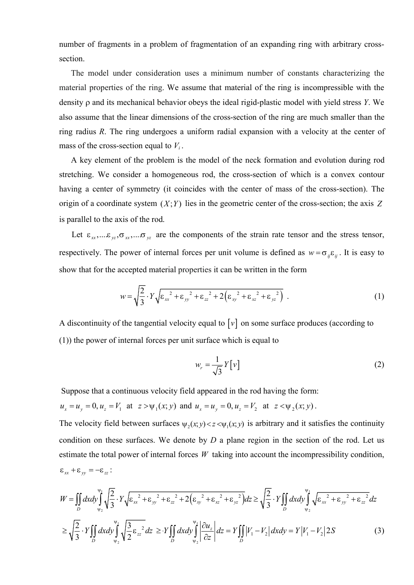number of fragments in a problem of fragmentation of an expanding ring with arbitrary cross section.

The model under consideration uses a minimum number of constants characterizing the material properties of the ring. We assume that material of the ring is incompressible with the density  $\rho$  and its mechanical behavior obeys the ideal rigid-plastic model with yield stress *Y*. We also assume that the linear dimensions of the cross-section of the ring are much smaller than the ring radius *R*. The ring undergoes a uniform radial expansion with a velocity at the center of mass of the cross-section equal to  $V_i$ . number of fragments in a problem of fragmentation of an expanding ring with arbitrary cross-<br>section.<br>The model under consideration uses a minimum number of constants characterizing the<br>material properties of the ring, We number of fragments in a problem of fragmentation of an expanding ring with arbitrary cross-<br>section.<br>The model under consideration uses a minimum number of constants characterizing the<br>material properties of the ring. We section.<br>The model under consideration uses a minimum number of constants characterizing the<br>material properties of the ring. We assume that material of the ring is incompressible with the<br>density  $\rho$  and its mechanical

A key element of the problem is the model of the neck formation and evolution during rod stretching. We consider a homogeneous rod, the cross-section of which is a convex contour having a center of symmetry (it coincides with the center of mass of the cross-section). The <sup>2</sup> 2 2 2 2 2 2 <sup>2</sup> *mechanical behavior obeys the ideal rigid-plastic model with yield stress Y. We<br>
<i>w be le inear dimensions of the cross-section of the ring are much smaller than the*<br> *er ing undergoes a uniform radial expansion w w* and, the cross-section of which is a convex contour<br>des with the center of mass of the cross-section). The<br>in the geometric center of the cross-section; the axis Z<br>apponents of the strain rate tensor and the stress te

show that for the accepted material properties it can be written in the form

$$
w = \sqrt{\frac{2}{3}} \cdot Y \sqrt{\epsilon_{xx}^2 + \epsilon_{yy}^2 + \epsilon_{zz}^2 + 2\left(\epsilon_{xy}^2 + \epsilon_{xz}^2 + \epsilon_{yz}^2\right)} \tag{1}
$$

A discontinuity of the tangential velocity equal to  $\lceil v \rceil$  on some surface produces (according to (1)) the power of internal forces per unit surface which is equal to

$$
w_r = \frac{1}{\sqrt{3}} Y[v]
$$
 (2)

Suppose that a continuous velocity field appeared in the rod having the form:

$$
u_x = u_y = 0
$$
,  $u_z = V_1$  at  $z > \psi_1(x; y)$  and  $u_x = u_y = 0$ ,  $u_z = V_2$  at  $z < \psi_2(x; y)$ .

organ or evolvance  $y_3$  or en  $y_4$ ,  $y_1$  is the matrix extent of the eters or and the stress tensor,<br>
the practice  $\int_C$  is proved in the components of the strain rate tensor and the stress tensor,<br>
respectively. The p condition on these surfaces. We denote by *D* a plane region in the section of the rod. Let us show that for the accepted material properties it can be written in the form<br>  $w = \sqrt{\frac{2}{3}} \cdot Y \sqrt{g_{xx}^2 + g_{yy}^2 + g_{zz}^2 + 2(g_{xy}^2 + g_{zz}^2 + g_{yy}^2)}$ . (1)<br>
A discontinuity of the tangential velocity equal to [v] on some surface p is a continuous velocity field appeared in the rod having the form:<br>  $u_z = V_1$  at  $z > \psi_1(x; y)$  and  $u_x = u_y = 0$ ,  $u_z = V_2$  at  $z < \psi_2(x; y)$ .<br>
Field between surfaces  $\psi_2(x; y) < z < \psi_1(x; y)$  is arbitrary and it satisfies the conti *x z* > *y*<sub>1</sub>(*x*; *y*) and *u<sub>x</sub>* = *u<sub>y</sub>* = 0, *u<sub>z</sub>* = *V*<sub>2</sub> at *z* < *y*<sub>2</sub>(*x*; *y*).<br> *ween* surfaces *v<sub>1</sub>*(*x*; *y*) < *z* < *v<sub>H</sub>*(*x*; *y*) is arbitrary and it satisfies the continuity<br> *rfaces*. We denote aving the form:<br>  $\int z < \psi_2(x; y)$ .<br>
itrary and it satisfies the continuity<br>
in in the section of the rod. Let us<br>
unt the incompressibility condition,<br>  $\frac{2}{3} \cdot Y \iint_D dx dy \int_{\psi_2}^{\psi_1} \sqrt{\varepsilon_{xx}^2 + \varepsilon_{yy}^2 + \varepsilon_{zz}^2} dz$ <br>  $\int |$ sfies the continuity<br>of the rod. Let us<br>ssibility condition,<br> $\frac{1}{x^2 + \epsilon_{yy}^2 + \epsilon_{zz}^2} dz$ <br> $|2S$  (3)

origin of a coordinate system 
$$
(X;Y)
$$
 lies in the geometric center of the cross-section; the axis Z  
is parallel to the axis of the rod.  
Let  $\varepsilon_n, ..., \varepsilon_n, \sigma_m, ..., \sigma_m$  are the components of the strain rate tensor and the stress tensor,  
respectively. The power of internal forces per unit volume is defined as  $w = \sigma_{\varphi} \varepsilon_y$ . It is easy to  
show that for the accepted material properties it can be written in the form  

$$
w = \sqrt{\frac{2}{3}} \cdot Y \sqrt{\varepsilon_m^2 + \varepsilon_{y}^2 + \varepsilon_{\alpha}^2 + 2(\varepsilon_{y}^2 + \varepsilon_{\alpha}^2 + \varepsilon_{\alpha}^2)}.
$$
 (1)  
A discontinuity of the tangential velocity equal to [v] on some surface produces (according to  
(1)) the power of internal forces per unit surface which is equal to  

$$
w_z = \frac{1}{\sqrt{3}} Y[v]
$$
 (2)  
Suppose that a continuous velocity field appeared in the rod having the form:  
 $u_x = u_y = 0$ ,  $u_z = V_1$  at  $z > \psi_1(x; y)$  and  $u_z = u_y = 0$ ,  $u_z = V_2$  at  $z < \psi_2(x; y)$ .  
The velocity field between surfaces  $\psi_2(x; y) < z < \psi_1(x; y)$  is arbitrary and it satisfies the continuity  
condition on these surfaces. We denote by *D* a plane region in the section of the rod. Let us  
estimate the total power of internal forces *W* taking into account the incompressibility condition,  
 $\varepsilon_{xx} + \varepsilon_{yy} = -\varepsilon_{zz}$ :  

$$
W = \iint_{0}^{y} dx dy' \int_{y_2}^{\sqrt{1/2}} Y \sqrt{\varepsilon_{xx}^2 + \varepsilon_{y}^2 + \varepsilon_{z}^2 + 2(\varepsilon_{xy}^2 + \varepsilon_{z}^2 + \varepsilon_{yz}^2)} dz \ge \sqrt{\frac{2}{3}} \cdot Y \int_{0}^{y} dx dy' \int_{y_1}^{\sqrt{1/2}} \frac{\sqrt{8}}{2} \varepsilon_{z}^2 dz
$$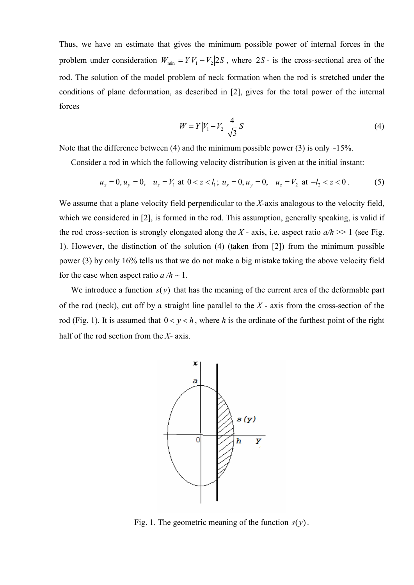Thus, we have an estimate that gives the minimum possible power of internal forces in the problem under consideration  $W_{min} = Y|V_1 - V_2|2S$ , where 2*S* - is the cross-sectional area of the rod. The solution of the model problem of neck formation when the rod is stretched under the conditions of plane deformation, as described in [2], gives for the total power of the internal forces minimum possible power of internal forces in  $V_2$ |2*S*, where 2*S* - is the cross-sectional area of neck formation when the rod is stretched under bed in [2], gives for the total power of the inter<br> $V_1 - V_2$ | $\frac{4}{\sqrt{3}}S$ *Were* iver the minimum possible power of internal forces in the<br>  $Y|V_1 - V_2|2S$ , where 2S - is the cross-sectional area of the<br>
blem of neck formation when the rod is stretched under the<br>
s described in [2], gives for th ave an estimate that gives the minimum possible power of internal forces in the<br>der consideration  $W_{\text{min}} = Y|V_1 - V_2|2S$ , where 2S- is the cross-sectional area of the<br>tution of the model problem of neck formation when the

$$
W = Y|V_1 - V_2| \frac{4}{\sqrt{3}} S \tag{4}
$$

Note that the difference between (4) and the minimum possible power (3) is only  $\sim$ 15%.

Consider a rod in which the following velocity distribution is given at the initial instant:

$$
u_x = 0
$$
,  $u_y = 0$ ,  $u_z = V_1$  at  $0 < z < l_1$ ;  $u_x = 0$ ,  $u_y = 0$ ,  $u_z = V_2$  at  $-l_2 < z < 0$ . (5)

We assume that a plane velocity field perpendicular to the *X-*axis analogous to the velocity field, which we considered in [2], is formed in the rod. This assumption, generally speaking, is valid if the rod cross-section is strongly elongated along the *X* - axis, i.e. aspect ratio  $a/h \gg 1$  (see Fig. 1). However, the distinction of the solution (4) (taken from [2]) from the minimum possible power (3) by only 16% tells us that we do not make a big mistake taking the above velocity field for the case when aspect ratio  $a/h \sim 1$ . ditions of plane deformation, as described in [2], gives for the total power of the internal<br>
res<br>  $W = Y|F_1 - V_3| \frac{4}{\sqrt{3}}S$  (4)<br>
that the difference between (4) and the minimum possible power (3) is only ~15%.<br>
Consider  $W = Y|Y_1 - V_2| \frac{A}{\sqrt{3}}S$  (4)<br>
Note that the difference between (4) and the minimum possible power (3) is only ~15%.<br>
Consider a rod in which the following velocity distribution is given at the initial instant:<br>  $u_x = 0$ ,

of the rod (neck), cut off by a straight line parallel to the *X* - axis from the cross-section of the half of the rod section from the *X-* axis.

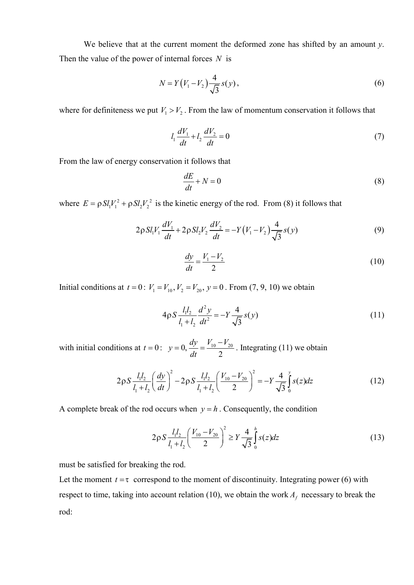We believe that at the current moment the deformed zone has shifted by an amount *y*. Then the value of the power of internal forces *N* is out moment the deformed zone has shifted by an and forces N is<br>  $(V_1 - V_2) \frac{4}{\sqrt{3}} s(y)$ ,<br>  $V_2$ . From the law of momentum conservation it follow t the deformed zone has shifted by an amount *y*.<br> *N* is<br>  $\frac{4}{3}$  *s*(*y*), (6)<br>
e law of momentum conservation it follows that<br>  $\frac{2}{3} = 0$  (7) *P*: current moment the deformed zone has shifted by an amount *y*.<br> *N* =  $Y(V_1 - V_2) \frac{4}{\sqrt{3}} s(y)$ , (6)<br>  $V_1 > V_2$ . From the law of momentum conservation it follows that<br>  $l_1 \frac{dV_1}{dt} + l_2 \frac{dV_2}{dt} = 0$  (7) We believe that at the current moment the deformed zone has shifted by an amount *y*.<br>
Then the value of the power of internal forces *N* is<br>  $N = Y(V_1 - V_2) \frac{4}{\sqrt{3}} s(y)$ , (6)<br>
where for definiteness we put  $V_1 > V_2$ . From t moment the deformed zone has shifted by an amount<br>  $V_1 - V_2 \frac{4}{\sqrt{3}} s(y)$ ,<br>
From the law of momentum conservation it follows the<br>  $\frac{V_1}{1} + l_2 \frac{dV_2}{dt} = 0$ <br>
t follows that First moment the deformed zone has shifted by an an<br>
ernal forces N is<br>  $Y(V_1 - V_2) \frac{4}{\sqrt{3}} s(y)$ ,<br>  $\cdot V_2$ . From the law of momentum conservation it follows<br>  $\frac{1}{dt} \frac{dV_1}{dt} + l_2 \frac{dV_2}{dt} = 0$ <br>
ion it follows that<br>  $\frac{$ First moment the deformed zone has shifted by an amount *y*.<br> **dottarrow** forces *N* is<br>  $\frac{dV_1}{dV_1} - V_2 \frac{4}{\sqrt{3}} s(y)$ , (6)<br>  $\frac{dV_2}{dt} + I_2 \frac{dV_2}{dt} = 0$  (7)<br> **ion it follows that**<br>  $\frac{dE}{dt} + N = 0$  (8) and forces *N* is<br>  $(V_1 - V_2) \frac{4}{\sqrt{3}} s(y)$ , (6)<br>  $\frac{dV_1}{dt} + l_2 \frac{dV_2}{dt} = 0$  (7)<br>  $\frac{dV_1}{dt} + V_2 \frac{dV_2}{dt} = 0$  (7)<br>  $\frac{dV_1}{dt} + V_2 \frac{dV_2}{dt} = 0$  (7)<br>  $\frac{dE}{dt} + N = 0$  (8)<br>  $\frac{dE}{dt} + N = 0$  (8)<br>  $\frac{dE}{dt} + N = 0$  (8) moment the deformed zone has shifted by an amount *y*.<br>
forces *N* is<br>  $-V_2 \frac{4}{\sqrt{3}} s(y)$ , (6)<br>
From the law of momentum conservation it follows that<br>  $+ l_2 \frac{dV_2}{dt} = 0$  (7)<br>
follows that<br>  $\frac{z}{t} + N = 0$  (8) homent the deformed zone has shifted by an amount y.<br>
orces N is<br>  $(V_2) \frac{4}{\sqrt{3}} s(y)$ , (6)<br>
om the law of momentum conservation it follows that<br>  $l_2 \frac{dV_2}{dt} = 0$  (7)<br>
ollows that<br>  $+ N = 0$  (8)<br>
c energy of the rod. From We believe that at the current moment the deformed zone has shifted by an amount *y*.<br>
Then the value of the power of internal forces *N* is<br>  $N = Y(V_1 - V_2) \frac{4}{\sqrt{3}} s(y)$ , (6)<br>
where for definiteness we put  $V_1 > V_2$ . From t at the current moment the deformed zone has shifted by an amount *y*.<br>
ower of internal forces *N* is<br>  $N = Y(V_1 - V_2) \frac{4}{\sqrt{3}} s(y)$ , (6)<br>
we put  $V_1 > V_2$ . From the law of momentum conservation it follows that<br>  $l_1 \frac{dV_$ at the current moment the deformed zone has shifted by an amount *y*.<br>
wer of internal forces *N* is<br>  $N = Y(V_1 - V_2) \frac{4}{\sqrt{3}} s(y)$ , (6)<br>
(6)<br>
(6)<br>
(8)<br>
(7)<br>
(7)<br>
(7)<br>
conservation it follows that<br>  $l_1 \frac{dV_1}{dt} + l_2 \frac{dV_2}{$ 

$$
N = Y(V_1 - V_2) \frac{4}{\sqrt{3}} s(y), \tag{6}
$$

$$
l_1 \frac{dV_1}{dt} + l_2 \frac{dV_2}{dt} = 0
$$
\n(7)

From the law of energy conservation it follows that

$$
\frac{dE}{dt} + N = 0\tag{8}
$$

Then the value of the power of internal forces *N* is  
\n
$$
N = Y(V_1 - V_2) \frac{4}{\sqrt{3}} s(y),
$$
\n(6)  
\nwhere for definiteness we put  $V_1 > V_2$ . From the law of momentum conservation it follows that  
\n
$$
l_1 \frac{dV_1}{dt} + l_2 \frac{dV_2}{dt} = 0
$$
\n(7)  
\nFrom the law of energy conservation it follows that  
\n
$$
\frac{dE}{dt} + N = 0
$$
\n(8)  
\nwhere  $E = \rho SI_1V_1^2 + \rho SI_2V_2^2$  is the kinetic energy of the rod. From (8) it follows that  
\n
$$
2\rho SI_1V_1 \frac{dV_1}{dt} + 2\rho SI_2V_2 \frac{dV_2}{dt} = -Y(V_1 - V_2) \frac{4}{\sqrt{3}} s(y)
$$
\n(9)  
\n
$$
\frac{dy}{dt} = \frac{V_1 - V_2}{2}
$$
\n(10)  
\nInitial conditions at  $t = 0$ :  $V_1 = V_{10}$ ,  $V_2 = V_{20}$ ,  $y = 0$ . From (7, 9, 10) we obtain  
\n
$$
4\rho S \frac{l_1 l_2}{l_1 + l_2} \frac{d^2 y}{dt^2} = -Y \frac{4}{\sqrt{3}} s(y)
$$
\n(11)  
\nwith initial conditions at  $t = 0$ :  $y = 0$ ,  $\frac{dy}{l_1} = \frac{V_{10} - V_{20}}{V_{20}}$ . Integrating (11) we obtain

$$
\frac{dy}{dt} = \frac{V_1 - V_2}{2} \tag{10}
$$

$$
V_1 > V_2
$$
. From the law of momentum conservation it follows that  
\n
$$
l_1 \frac{dV_1}{dt} + l_2 \frac{dV_2}{dt} = 0
$$
\n
$$
V_1 = V_2
$$
\n
$$
V_2 = V_1
$$
\n
$$
V_3 = V_2
$$
\n
$$
V_4 = V_3
$$
\n
$$
V_5 = V_4
$$
\n
$$
V_6 = V_5
$$
\n
$$
V_7 = V_5
$$
\n
$$
V_8 = V_1 - V_2
$$
\n
$$
V_9 = V_1 - V_2
$$
\n
$$
V_9 = V_2 - V_3
$$
\n
$$
V_1 = V_3 - V_3
$$
\n
$$
V_1 = V_2 - V_3
$$
\n
$$
V_2 = V_3
$$
\n
$$
V_3 = V_3 - V_3
$$
\n
$$
V_4 = V_3 - V_3
$$
\n
$$
V_5 = V_4 - V_2
$$
\n
$$
V_6 = V_3 - V_3
$$
\n
$$
V_7 = V_4 - V_3
$$
\n
$$
V_8 = V_3 - V_3
$$
\n
$$
V_9 = V_3 - V_3
$$
\n
$$
V_9 = V_3 - V_3
$$
\n
$$
V_9 = V_3 - V_3
$$
\n
$$
V_9 = V_3 - V_3
$$
\n
$$
V_9 = V_3 - V_3
$$
\n
$$
V_9 = V_3 - V_3
$$
\n
$$
V_9 = V_3 - V_3
$$
\n
$$
V_9 = V_3 - V_3
$$
\n
$$
V_9 = V_3 - V_3
$$
\n
$$
V_9 = V_3 - V_3
$$
\n
$$
V_9 = V_3 - V_3
$$
\n
$$
V_9 = V_3 - V_3
$$
\n
$$
V_9 = V_3 - V_3
$$
\n
$$
V_9 = V_3 - V_3
$$
\n
$$
V_9 = V_3 - V_3
$$
\n
$$
V_9 = V_3 - V
$$

 $2P_1S_1V_1\frac{dt}{dt} + 2P_1S_1V_2\frac{dt}{dt} = -I(V_1 - V_2)\frac{1}{\sqrt{3}}S_1(V)$ <br>  $\frac{dy}{dt} = \frac{V_1 - V_2}{2}$  (10<br>
Initial conditions at  $t = 0$ :  $V_1 = V_{10}$ ,  $V_2 = V_{20}$ ,  $y = 0$ . From (7, 9, 10) we obtain<br>  $4P_1S_1\frac{l_1l_2}{l_1 + l_2}\frac{d^2y}{dt^2}$  $y = 0$ ,  $\frac{dy}{dt} = \frac{V_{10} - V_{20}}{2}$ . Integrating (11) we obtain

From the law of energy conservation it follows that  
\n
$$
\frac{dE}{dt} + N = 0
$$
\n(8)  
\nwhere  $E = \rho SI_1V_1^2 + \rho SI_2V_2^2$  is the kinetic energy of the rod. From (8) it follows that  
\n
$$
2\rho SI_1V_1 \frac{dV_1}{dt} + 2\rho SI_2V_2 \frac{dV_2}{dt} = -Y(V_1 - V_2) \frac{4}{\sqrt{3}} s(y)
$$
\n(9)  
\n
$$
\frac{dy}{dt} = \frac{V_1 - V_2}{2}
$$
\n(10)  
\nInitial conditions at  $t = 0$ :  $V_1 = V_{10}$ ,  $V_2 = V_{20}$ ,  $y = 0$ . From (7, 9, 10) we obtain  
\n
$$
4\rho S \frac{l_1 l_2}{l_1 + l_2} \frac{d^2 y}{dt^2} = -Y \frac{4}{\sqrt{3}} s(y)
$$
\n(11)  
\nwith initial conditions at  $t = 0$ :  $y = 0$ ,  $\frac{dy}{dt} = \frac{V_{10} - V_{20}}{2}$ . Integrating (11) we obtain  
\n
$$
2\rho S \frac{l_1 l_2}{l_1 + l_2} \left(\frac{dy}{dt}\right)^2 - 2\rho S \frac{l_1 l_2}{l_1 + l_2} \left(\frac{V_{10} - V_{20}}{2}\right)^2 = -Y \frac{4}{\sqrt{3}} \int_0^1 s(z) dz
$$
\n(12)  
\nA complete break of the rod occurs when  $y = h$ . Consequently, the condition  
\n
$$
2\rho S \frac{l_1 l_2}{l_1 + l_2} \left(\frac{V_{10} - V_{20}}{2}\right)^2 \ge Y \frac{4}{\sqrt{3}} \int_0^h s(z) dz
$$
\n(13)  
\nmust be satisfied for breaking the rod.  
\nLet the moment  $t = \tau$  correspond to the moment of discontinuity. Integrating power (6) with  
\nrespect to time, taking into account relation (10), we obtain the work  $A_f$  necessary to break the

$$
2\rho S \frac{l_1 l_2}{l_1 + l_2} \left(\frac{V_{10} - V_{20}}{2}\right)^2 \ge Y \frac{4}{\sqrt{3}} \int_0^h s(z) dz
$$
 (13)

must be satisfied for breaking the rod.

 $\frac{dy}{dt} = \frac{V_1 - V_2}{2}$  (10)<br>  $= V_{10}, V_2 = V_{20}, y = 0$ . From (7, 9, 10) we obtain<br>  $4pS \frac{l_1 l_2}{l_1 + l_2} \frac{d^2y}{dt^2} = -Y \frac{4}{\sqrt{3}} s(y)$  (11)<br>  $\therefore y = 0, \frac{dy}{dt} = \frac{V_{10} - V_{20}}{2}$ . Integrating (11) we obtain<br>  $\frac{dy}{dt} \Big|^2 - 2pS \frac$  $rac{dy}{dt} = \frac{V_1 - V_2}{2}$  (10)<br>  $V_2 = V_{20}, y = 0$ . From (7, 9, 10) we obtain<br>  $S = \frac{I_1 I_2}{I_1 + I_2} \frac{d^2 y}{dt^2} = -Y \frac{4}{\sqrt{3}} s(y)$  (11)<br>  $= 0, \frac{dy}{dt} = \frac{V_{10} - V_{20}}{2}$ . Integrating (11) we obtain<br>  $- 2pS \frac{I_1 I_2}{I_1 + I_2} \left(\frac{V$ Let the moment  $t = \tau$  correspond to the moment of discontinuity. Integrating power (6) with respect to time, taking into account relation (10), we obtain the work  $A_f$  necessary to break the rod: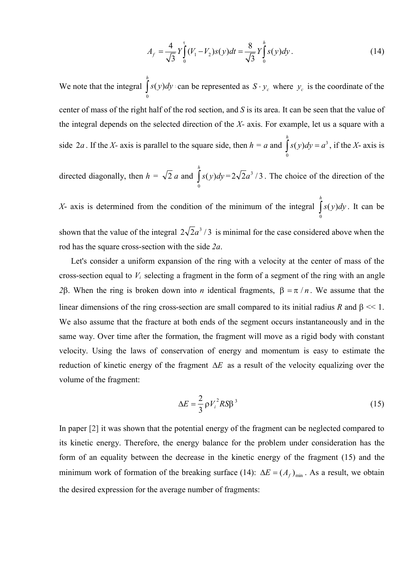$$
A_f = \frac{4}{\sqrt{3}} Y \int_0^{\tau} (V_1 - V_2) s(y) dt = \frac{8}{\sqrt{3}} Y \int_0^h s(y) dy.
$$
 (14)  

$$
\int_0^h s(y) dy \text{ can be represented as } S \cdot y_c \text{ where } y_c \text{ is the coordinate of the}
$$

 $\frac{4}{\sqrt{3}} Y_{0}^{\dagger} (V_{1} - V_{2}) s(y) dt = \frac{8}{\sqrt{3}} Y_{0}^{\dagger} s(y) dy$ . (14)<br>  $\frac{dy}{dx}$  can be represented as  $S \cdot y_{c}$  where  $y_{c}$  is the coordinate of the<br>
f the rod section, and *S* is its area. It can be seen that the value of<br>  $L_f = \frac{4}{\sqrt{3}} Y \int_0^{\tau} (V_1 - V_2) s(y) dt = \frac{8}{\sqrt{3}} Y \int_0^{\pi} s(y) dy$ . (14)<br>  $s(y) dy$  can be represented as  $S \cdot y_c$  where  $y_c$  is the coordinate of the<br>
nalf of the rod section, and *S* is its area. It can be seen that the value of  $A_f = \frac{4}{\sqrt{3}} Y \int_0^5 (V_1 - V_2) s(y) dt = \frac{8}{\sqrt{3}} Y \int_0^4 s(y) dy$ . (14)<br>We note that the integral  $\int_0^h s(y) dy$  can be represented as  $S \cdot y_c$  where  $y_c$  is the coordinate of the<br>center of mass of the right half of the rod section,  $\mathcal{L}_{\tau} = \frac{4}{\sqrt{3}} Y \int_{0}^{x} (V_{1} - V_{2}) s(y) dt = \frac{8}{\sqrt{3}} Y \int_{0}^{h} s(y) dy$ . (14)<br>
(*y*)*dy* · can be represented as  $S \cdot y_{c}$  where  $y_{c}$  is the coordinate of the<br>
alf of the rod section, and *S* is its area. It can be seen t *h*  $A_f = \frac{4}{\sqrt{3}} Y \int_0^x (V_1 - V_2) s(y) dt = \frac{8}{\sqrt{3}} Y \int_0^b s(y) dy$ . (14)<br>  $\int_0^h s(y) dy$  can be represented as  $S \cdot y_c$  where  $y_c$  is the coordinate of the<br>
thalf of the rod section, and *S* is its area. It can be seen that the value can be represented as  $S \cdot y_c$  where  $y_c$  is the coordinate of the center of mass of the right half of the rod section, and *S* is its area. It can be seen that the value of the integral depends on the selected direction of the *X-* axis. For example, let us a square with a side 2*a*. If the *X*- axis is parallel to the square side, then  $h = a$  and  $\int s(y)dy = a^3$ , if the *X*- axis is 0 (14)<br>  $y_c$  is the coordinate of the<br>
an be seen that the value of<br>
mple, let us a square with a<br>  $(y)dy = a^3$ , if the X- axis is<br>
oice of the direction of the<br>
ttegral  $\int_a^b s(y)dy$ . It can be *h ly*. (14)<br>
ere  $y_c$  is the coordinate of the<br> *s* t can be seen that the value of<br>  $\lim_{b \to 0} \int_{0}^{h} s(y) dy = a^3$ , if the *X*- axis is<br>
choice of the direction of the<br>  $\lim_{b \to 0} \int_{0}^{h} s(y) dy$ . It can be , if the *X*- axis is  $V_2$ ) $s(y)dt = \frac{8}{\sqrt{3}} Y \int_0^t s(y)dy$ . (14)<br>
epresented as  $S \cdot y_c$  where  $y_c$  is the coordinate of the<br>
ction, and S is its area. It can be seen that the value of<br>
on of the X- axis. For example, let us a square with a<br>
tre  $-V_2$ )*s*(*y*) $dt = \frac{8}{\sqrt{3}} Y \int_0^4 s(y) dy$ . (14)<br>
e represented as  $S \cdot y_c$  where  $y_c$  is the coordinate of the<br>
section, and *S* is its area. It can be seen that the value of<br>
section, and *S* is its area. It can be seen tha (14)<br>coordinate of the<br>that the value of<br>s a square with a<br> $^3$ , if the X- axis is<br>e direction of the<br>( $y)dy$ . It can be<br>d above when the<br>d above when the (14)<br>
the coordinate of the<br>
teen that the value of<br>
t us a square with a<br>  $a^3$ , if the X- axis is<br>
the direction of the<br>
the direction of the<br>  $\int_0^h s(y)dy$ . It can be<br>
red above when the<br>
nter of mass of the

directed diagonally, then  $h = \sqrt{2} a$  and  $\int s(y) dy = 2\sqrt{2}a^3/3$ . The choic 0 *h*  $= 2\sqrt{2}a^3/3$ . The choice of the direction of the

X- axis is determined from the condition of the minimum of the integral  $|s($ 0 *h* . It can be shown that the value of the integral  $2\sqrt{2}a^3/3$  is minimal for the case considered above when the rod has the square cross-section with the side *2a*.

Let's consider a uniform expansion of the ring with a velocity at the center of mass of the cross-section equal to *V<sup>i</sup>* selecting a fragment in the form of a segment of the ring with an angle 2β. When the ring is broken down into *n* identical fragments,  $β = π / n$ . We assume that the linear dimensions of the ring cross-section are small compared to its initial radius *R* and  $\beta \ll 1$ . We also assume that the fracture at both ends of the segment occurs instantaneously and in the same way. Over time after the formation, the fragment will move as a rigid body with constant velocity. Using the laws of conservation of energy and momentum is easy to estimate the reduction of kinetic energy of the fragment  $\Delta E$  as a result of the velocity equalizing over the volume of the fragment:

$$
\Delta E = \frac{2}{3} \rho V_i^2 R S \beta^3 \tag{15}
$$

In paper [2] it was shown that the potential energy of the fragment can be neglected compared to its kinetic energy. Therefore, the energy balance for the problem under consideration has the form of an equality between the decrease in the kinetic energy of the fragment (15) and the minimum work of formation of the breaking surface (14):  $\Delta E = (A_f)_{\text{min}}$ . As a result, we obtain the desired expression for the average number of fragments: